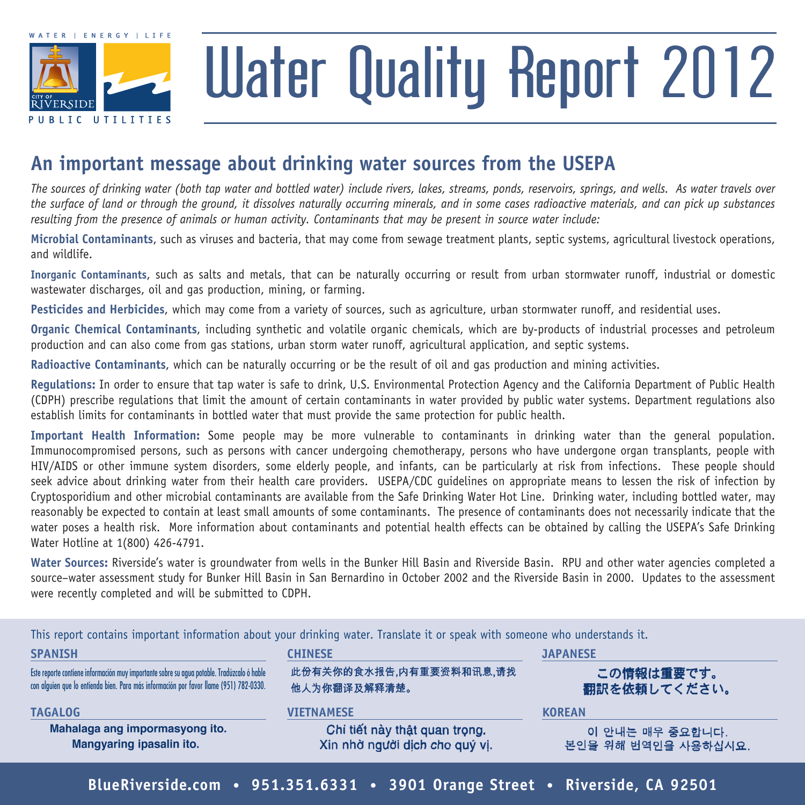

# Water Quality Report 2012

### **An important message about drinking water sources from the USEPA**

*The sources of drinking water (both tap water and bottled water) include rivers, lakes, streams, ponds, reservoirs, springs, and wells. As water travels over the surface of land or through the ground, it dissolves naturally occurring minerals, and in some cases radioactive materials, and can pick up substances resulting from the presence of animals or human activity. Contaminants that may be present in source water include:*

**Microbial Contaminants**, such as viruses and bacteria, that may come from sewage treatment plants, septic systems, agricultural livestock operations, and wildlife.

**Inorganic Contaminants**, such as salts and metals, that can be naturally occurring or result from urban stormwater runoff, industrial or domestic wastewater discharges, oil and gas production, mining, or farming.

**Pesticides and Herbicides**, which may come from a variety of sources, such as agriculture, urban stormwater runoff, and residential uses.

**Organic Chemical Contaminants**, including synthetic and volatile organic chemicals, which are by-products of industrial processes and petroleum production and can also come from gas stations, urban storm water runoff, agricultural application, and septic systems.

**Radioactive Contaminants**, which can be naturally occurring or be the result of oil and gas production and mining activities.

**Regulations:** In order to ensure that tap water is safe to drink, U.S. Environmental Protection Agency and the California Department of Public Health (CDPH) prescribe regulations that limit the amount of certain contaminants in water provided by public water systems. Department regulations also establish limits for contaminants in bottled water that must provide the same protection for public health.

**Important Health Information:** Some people may be more vulnerable to contaminants in drinking water than the general population. Immunocompromised persons, such as persons with cancer undergoing chemotherapy, persons who have undergone organ transplants, people with HIV/AIDS or other immune system disorders, some elderly people, and infants, can be particularly at risk from infections. These people should seek advice about drinking water from their health care providers. USEPA/CDC guidelines on appropriate means to lessen the risk of infection by Cryptosporidium and other microbial contaminants are available from the Safe Drinking Water Hot Line. Drinking water, including bottled water, may reasonably be expected to contain at least small amounts of some contaminants. The presence of contaminants does not necessarily indicate that the water poses a health risk. More information about contaminants and potential health effects can be obtained by calling the USEPA's Safe Drinking Water Hotline at 1(800) 426-4791.

**Water Sources:** Riverside's water is groundwater from wells in the Bunker Hill Basin and Riverside Basin. RPU and other water agencies completed a source–water assessment study for Bunker Hill Basin in San Bernardino in October 2002 and the Riverside Basin in 2000. Updates to the assessment were recently completed and will be submitted to CDPH.

**SPANISH CHINESE JAPANESE** 此份有关你的食水报告,内有重要资料和讯息,请找 この情報は重要です。 Este reporte contiene información muy importante sobre su agua potable. Tradúzcalo ó hable con alguien que lo entienda bien. Para más información por favor llame (951) 782-0330. 他人为你翻译及解释清楚。 翻訳を依頼してください。 **TAGALOG VIETNAMESE KOREAN**Mahalaga ang impormasyong ito. Chi tiết này thật quan trọng. 이 안내는 매우 중요합니다. Mangyaring ipasalin ito. Xin nhờ người dịch cho quý vị. 본인을 위해 번역인을 사용하십시요.

This report contains important information about your drinking water. Translate it or speak with someone who understands it.

**BlueRiverside.com • 951.351.6331 • 3901 Orange Street • Riverside, CA 92501**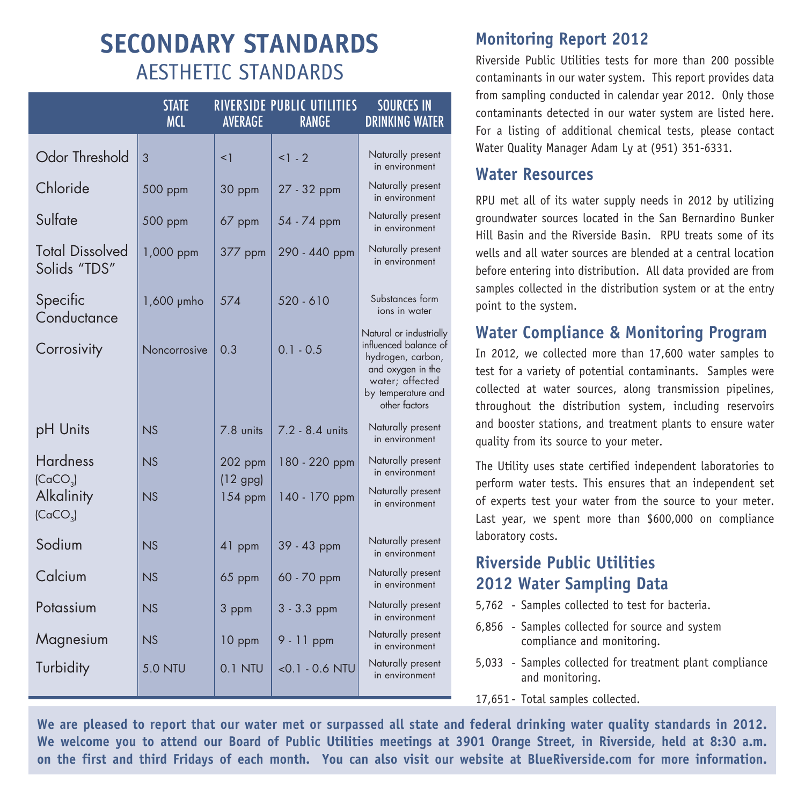## **SECONDARY STANDARDS** AESTHETIC STANDARDS

|                                                          | <b>STATE</b><br><b>MCL</b> | <b>AVERAGE</b>        | <u>RIVERSIDE PUBLIC UTILITIES</u><br><b>RANGE</b> | <b>SOURCES IN</b><br><b>DRINKING WATER</b>                                                                                                           |
|----------------------------------------------------------|----------------------------|-----------------------|---------------------------------------------------|------------------------------------------------------------------------------------------------------------------------------------------------------|
| Odor Threshold                                           | 3                          | $\leq$ 1              | $1 - 2$                                           | Naturally present<br>in environment                                                                                                                  |
| Chloride                                                 | 500 ppm                    | 30 ppm                | 27 - 32 ppm                                       | Naturally present<br>in environment                                                                                                                  |
| Sulfate                                                  | 500 ppm                    | 67 ppm                | 54 - 74 ppm                                       | Naturally present<br>in environment                                                                                                                  |
| <b>Total Dissolved</b><br>Solids "TDS"                   | 1,000 ppm                  | 377 ppm               | 290 - 440 ppm                                     | Naturally present<br>in environment                                                                                                                  |
| Specific<br>Conductance                                  | 1,600 µmho                 | 574                   | $520 - 610$                                       | Substances form<br>ions in water                                                                                                                     |
| Corrosivity                                              | Noncorrosive               | 0.3                   | $0.1 - 0.5$                                       | Natural or industrially<br>influenced balance of<br>hydrogen, carbon,<br>and oxygen in the<br>water; affected<br>by temperature and<br>other factors |
| pH Units                                                 | NS                         | 7.8 units             | $7.2 - 8.4$ units                                 | Naturally present<br>in environment                                                                                                                  |
| <b>Hardness</b>                                          | N.S                        | $202$ ppm             | 180 - 220 ppm                                     | Naturally present<br>in environment                                                                                                                  |
| (CaCO <sub>3</sub> )<br>Alkalinity<br> CaCO <sub>3</sub> | NS                         | $(12$ gpg)<br>154 ppm | 140 - 170 ppm                                     | Naturally present<br>in environment                                                                                                                  |
| Sodium                                                   | NS                         | 41 ppm                | 39 - 43 ppm                                       | Naturally present<br>in environment                                                                                                                  |
| Calcium                                                  | NS                         | 65 ppm                | 60 - 70 ppm                                       | Naturally present<br>in environment                                                                                                                  |
| Potassium                                                | NS                         | 3 ppm                 | $3 - 3.3$ ppm                                     | Naturally present<br>in environment                                                                                                                  |
| Magnesium                                                | NS                         | 10 ppm                | 9 - 11 ppm                                        | Naturally present<br>in environment                                                                                                                  |
| Turbidity                                                | <b>5.0 NTU</b>             | $0.1$ NTU             | $< 0.1 - 0.6$ NTU                                 | Naturally present<br>in environment                                                                                                                  |

#### **Monitoring Report 2012**

Riverside Public Utilities tests for more than 200 possible contaminants in our water system. This report provides data from sampling conducted in calendar year 2012. Only those contaminants detected in our water system are listed here. For a listing of additional chemical tests, please contact Water Quality Manager Adam Ly at (951) 351-6331.

#### **Water Resources**

RPU met all of its water supply needs in 2012 by utilizing groundwater sources located in the San Bernardino Bunker Hill Basin and the Riverside Basin. RPU treats some of its wells and all water sources are blended at a central location before entering into distribution. All data provided are from samples collected in the distribution system or at the entry point to the system.

#### **Water Compliance & Monitoring Program**

In 2012, we collected more than 17,600 water samples to test for a variety of potential contaminants. Samples were collected at water sources, along transmission pipelines, throughout the distribution system, including reservoirs and booster stations, and treatment plants to ensure water quality from its source to your meter.

The Utility uses state certified independent laboratories to perform water tests. This ensures that an independent set of experts test your water from the source to your meter. Last year, we spent more than \$600,000 on compliance laboratory costs.

#### **Riverside Public Utilities 2012 Water Sampling Data**

- 5,762 Samples collected to test for bacteria.
- 6,856 Samples collected for source and system compliance and monitoring.
- 5,033 Samples collected for treatment plant compliance and monitoring.
- 17,651 Total samples collected.

**We are pleased to report that our water met or surpassed all state and federal drinking water quality standards in 2012. We welcome you to attend our Board of Public Utilities meetings at 3901 Orange Street, in Riverside, held at 8:30 a.m. on the first and third Fridays of each month. You can also visit our website at BlueRiverside.com for more information.**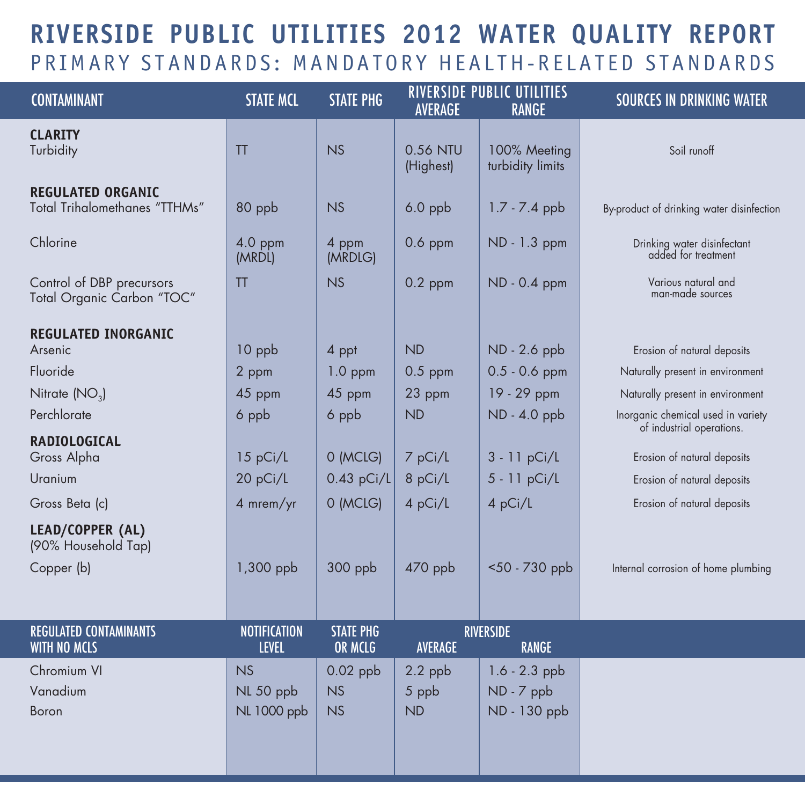## **RIVERSIDE PUBLIC UTILITIES 2012 WATER QUALITY REPORT** PRIMARY STANDARDS: MANDATORY HEALTH-RELATED STANDARDS

| <b>CONTAMINANT</b>                                               | <b>STATE MCL</b>                    | <b>STATE PHG</b>            | <b>AVERAGE</b>        | <b>RIVERSIDE PUBLIC UTILITIES</b><br><b>RANGE</b> | <b>SOURCES IN DRINKING WATER</b>                         |
|------------------------------------------------------------------|-------------------------------------|-----------------------------|-----------------------|---------------------------------------------------|----------------------------------------------------------|
| <b>CLARITY</b><br>Turbidity                                      | TT                                  | NS                          | 0.56 NTU<br>(Highest) | 100% Meeting<br>turbidity limits                  | Soil runoff                                              |
| <b>REGULATED ORGANIC</b><br><b>Total Trihalomethanes "TTHMs"</b> | 80 ppb                              | NS                          | $6.0$ ppb             | $1.7 - 7.4$ ppb                                   | By-product of drinking water disinfection                |
| Chlorine                                                         | 4.0 ppm<br>(MRDL)                   | 4 ppm<br>(MRDLG)            | $0.6$ ppm             | ND - 1.3 ppm                                      | Drinking water disinfectant<br>added for treatment       |
| Control of DBP precursors<br>Total Organic Carbon "TOC"          | TT                                  | NS                          | $0.2$ ppm             | $ND - 0.4$ ppm                                    | Various natural and<br>man-made sources                  |
| <b>REGULATED INORGANIC</b><br>Arsenic                            | 10 ppb                              | 4 ppt                       | <b>ND</b>             | ND - 2.6 ppb                                      | Erosion of natural deposits                              |
| Fluoride                                                         | 2 ppm                               | $1.0$ ppm                   | $0.5$ ppm             | $0.5 - 0.6$ ppm                                   | Naturally present in environment                         |
| Nitrate (NO <sub>3</sub> )                                       | 45 ppm                              | 45 ppm                      | 23 ppm                | 19 - 29 ppm                                       | Naturally present in environment                         |
| Perchlorate                                                      | 6 ppb                               | 6 ppb                       | <b>ND</b>             | ND - 4.0 ppb                                      | Inorganic chemical used in variety                       |
| <b>RADIOLOGICAL</b><br>Gross Alpha                               | 15 pCi/L                            | 0 (MCLG)                    | 7 pCi/L               | 3 - 11 pCi/L                                      | of industrial operations.<br>Erosion of natural deposits |
| Uranium                                                          | 20 pCi/L                            | $0.43$ pCi/L                | 8 pCi/L               | 5 - 11 pCi/L                                      | Erosion of natural deposits                              |
| Gross Beta (c)                                                   | 4 mrem/yr                           | 0 (MCLG)                    | 4 pCi/L               | 4 pCi/L                                           | Erosion of natural deposits                              |
| LEAD/COPPER (AL)<br>(90% Household Tap)                          |                                     |                             |                       |                                                   |                                                          |
| Copper (b)                                                       | 1,300 ppb                           | 300 ppb                     | 470 ppb               | <50 - 730 ppb                                     | Internal corrosion of home plumbing                      |
|                                                                  |                                     |                             |                       |                                                   |                                                          |
| <b>REGULATED CONTAMINANTS</b><br><b>WITH NO MCLS</b>             | <b>NOTIFICATION</b><br><b>LEVEL</b> | <b>STATE PHG</b><br>OR MCLG | <b>AVERAGE</b>        | <b>RIVERSIDE</b><br><b>RANGE</b>                  |                                                          |
| Chromium VI                                                      | <b>NS</b>                           | $0.02$ ppb                  | $2.2$ ppb             | 1.6 - 2.3 ppb                                     |                                                          |
| Vanadium                                                         | NL 50 ppb                           | NS                          | 5 ppb                 | ND - 7 ppb                                        |                                                          |
| Boron                                                            | <b>NL 1000 ppb</b>                  | NS                          | <b>ND</b>             | ND - 130 ppb                                      |                                                          |
|                                                                  |                                     |                             |                       |                                                   |                                                          |
|                                                                  |                                     |                             |                       |                                                   |                                                          |